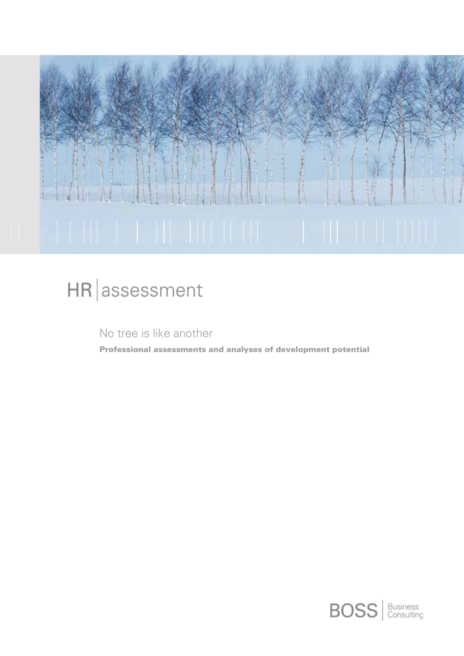

# HR assessment

No tree is like another

Professional assessments and analyses of development potential

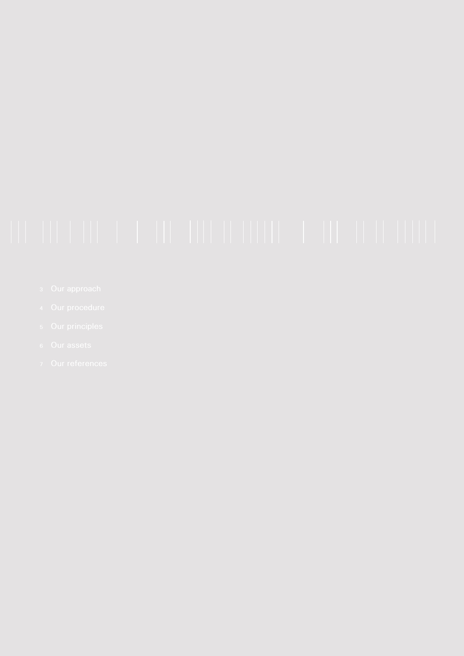- 
- 
- 
- 
-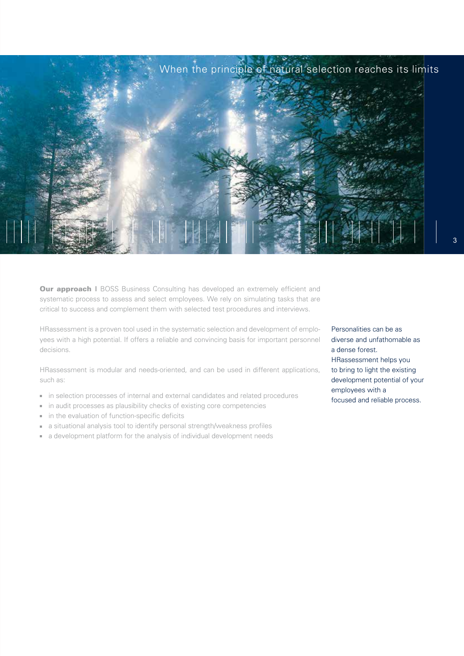

**Our approach I** BOSS Business Consulting has developed an extremely efficient and systematic process to assess and select employees. We rely on simulating tasks that are critical to success and complement them with selected test procedures and interviews.

HRassessment is a proven tool used in the systematic selection and development of employees with a high potential. If offers a reliable and convincing basis for important personnel decisions.

HRassessment is modular and needs-oriented, and can be used in different applications, such as:

- in selection processes of internal and external candidates and related procedures  $\bar{\bar{a}}$
- in audit processes as plausibility checks of existing core competencies  $\bar{\alpha}$
- in the evaluation of function-specific deficits  $\blacksquare$
- a situational analysis tool to identify personal strength/weakness profiles  $\bar{a}$
- a development platform for the analysis of individual development needs m.

Personalities can be as diverse and unfathomable as a dense forest. HRassessment helps you to bring to light the existing development potential of your employees with a focused and reliable process.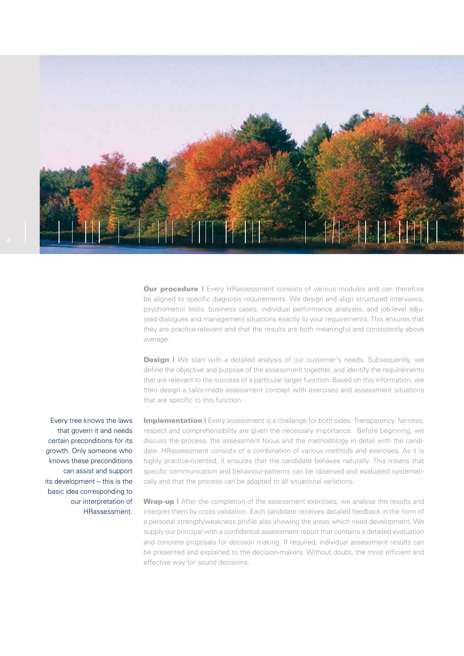

**Our procedure |** Every HRassessment consists of various modules and can therefore be aligned to specific diagnosis requirements. We design and align structured interviews, psychometric tests, business cases, individual performance analyses, and job-level adjusted dialogues and management situations exactly to your requirements. This ensures that they are practice-relevant and that the results are both meaningful and consistently above average.

**Design I** We start with a detailed analysis of our customer's needs. Subsequently, we define the objective and purpose of the assessment together, and identify the requirements that are relevant to the success of a particular target function. Based on this information, we then design a tailor-made assessment concept with exercises and assessment situations that are specific to this function.

Every tree knows the laws that govern it and needs certain preconditions for its growth. Only someone who knows these preconditions can assist and support its development – this is the basic idea corresponding to our interpretation of HRassessment.

**Implementation** I Every assessment is a challenge for both sides. Transparency, fairness, respect and comprehensibility are given the necessary importance. Before beginning, we discuss the process, the assessment focus and the methodology in detail with the candidate. HRassessment consists of a combination of various methods and exercises. As it is highly practice-oriented, it ensures that the candidate behaves naturally. This means that specific communication and behaviour-patterns can be observed and evaluated systematically and that the process can be adapted to all situational variations.

**Wrap-up |** After the completion of the assessment exercises, we analyse the results and interpret them by cross validation. Each candidate receives detailed feedback in the form of a personal strength/weakness profile also showing the areas which need development. We supply our principal with a confidential assessment report that contains a detailed evaluation and concrete proposals for decision making. If required, individual assessment results can be presented and explained to the decision-makers. Without doubt, the most efficient and effective way for sound decisions.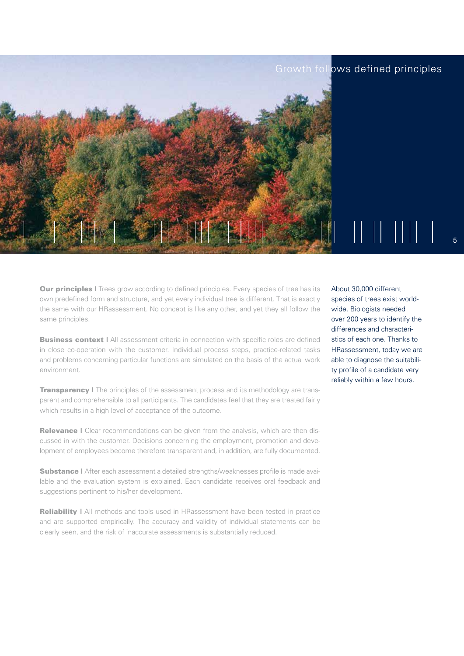### Growth follows defined principles



**Our principles I** Trees grow according to defined principles. Every species of tree has its own predefined form and structure, and yet every individual tree is different. That is exactly the same with our HRassessment. No concept is like any other, and yet they all follow the same principles.

**Business context | All assessment criteria in connection with specific roles are defined** in close co-operation with the customer. Individual process steps, practice-related tasks and problems concerning particular functions are simulated on the basis of the actual work environment.

**Transparency** I The principles of the assessment process and its methodology are transparent and comprehensible to all participants. The candidates feel that they are treated fairly which results in a high level of acceptance of the outcome.

**Relevance | Clear recommendations can be given from the analysis, which are then dis**cussed in with the customer. Decisions concerning the employment, promotion and development of employees become therefore transparent and, in addition, are fully documented.

Substance I After each assessment a detailed strengths/weaknesses profile is made available and the evaluation system is explained. Each candidate receives oral feedback and suggestions pertinent to his/her development.

**Reliability | All methods and tools used in HRassessment have been tested in practice** and are supported empirically. The accuracy and validity of individual statements can be clearly seen, and the risk of inaccurate assessments is substantially reduced.

About 30,000 different species of trees exist worldwide. Biologists needed over 200 years to identify the differences and characteristics of each one. Thanks to HRassessment, today we are able to diagnose the suitability profile of a candidate very reliably within a few hours.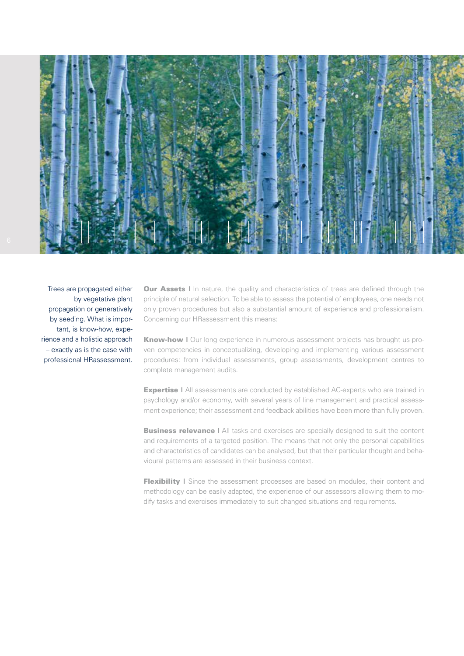

Trees are propagated either by vegetative plant propagation or generatively by seeding. What is important, is know-how, experience and a holistic approach – exactly as is the case with professional HRassessment.

**Our Assets I** In nature, the quality and characteristics of trees are defined through the principle of natural selection. To be able to assess the potential of employees, one needs not only proven procedures but also a substantial amount of experience and professionalism. Concerning our HRassessment this means:

Know-how | Our long experience in numerous assessment projects has brought us proven competencies in conceptualizing, developing and implementing various assessment procedures: from individual assessments, group assessments, development centres to complete management audits.

**Expertise I** All assessments are conducted by established AC-experts who are trained in psychology and/or economy, with several years of line management and practical assessment experience; their assessment and feedback abilities have been more than fully proven.

**Business relevance | All tasks and exercises are specially designed to suit the content** and requirements of a targeted position. The means that not only the personal capabilities and characteristics of candidates can be analysed, but that their particular thought and behavioural patterns are assessed in their business context.

Flexibility I Since the assessment processes are based on modules, their content and methodology can be easily adapted, the experience of our assessors allowing them to modify tasks and exercises immediately to suit changed situations and requirements.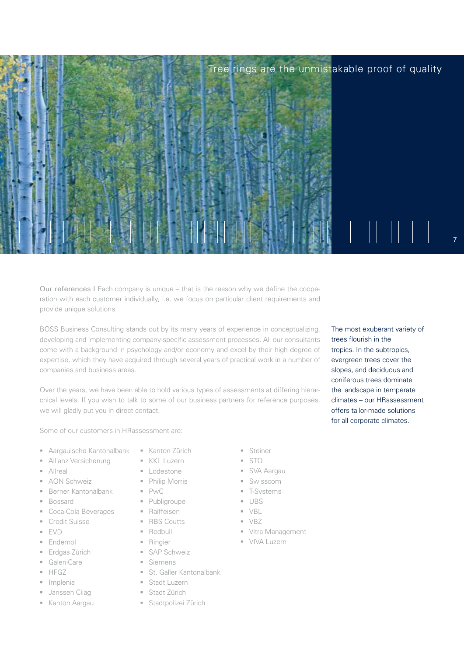## Tree rings are the unmistakable proof of quality



Our references I Each company is unique – that is the reason why we define the cooperation with each customer individually, i.e. we focus on particular client requirements and provide unique solutions.

BOSS Business Consulting stands out by its many years of experience in conceptualizing, developing and implementing company-specific assessment processes. All our consultants come with a background in psychology and/or economy and excel by their high degree of expertise, which they have acquired through several years of practical work in a number of companies and business areas.

Over the years, we have been able to hold various types of assessments at differing hierarchical levels. If you wish to talk to some of our business partners for reference purposes, we will gladly put you in direct contact.

Some of our customers in HRassessment are:

- Aargauische Kantonalbank
- Allianz Versicherung
- **Allreal**
- AON Schweiz
- Berner Kantonalbank
- Bossard
- Coca-Cola Beverages
- Credit Suisse
- EVD
- **Endemol**
- Erdgas Zürich
- GaleniCare
- **HFGZ**
- · Implenia
- Janssen Cilag
- **Kanton Aargau**
- **Kanton Zürich**
- KKL Luzern
- **Lodestone**
- **Philip Morris**
- $\blacksquare$  PwC
- **Publigroupe**
- Raiffeisen
- **RBS Coutts**
- **Redbull**
- **Ringier**
- SAP Schweiz
- Siemens
- **St. Galler Kantonalbank**
- **Stadt Luzern**
- Stadt Zürich
- **Stadtpolizei Zürich**
- **Steiner**
- $STO$
- SVA Aargau
- Swisscom
- T-Systems
- $-UBS$
- $\blacksquare$  VBL
- $\blacksquare$  VBZ
- **Vitra Management**
- **VIVA Luzern**

The most exuberant variety of trees flourish in the tropics. In the subtropics, evergreen trees cover the slopes, and deciduous and coniferous trees dominate the landscape in temperate climates – our HRassessment offers tailor-made solutions for all corporate climates.

7